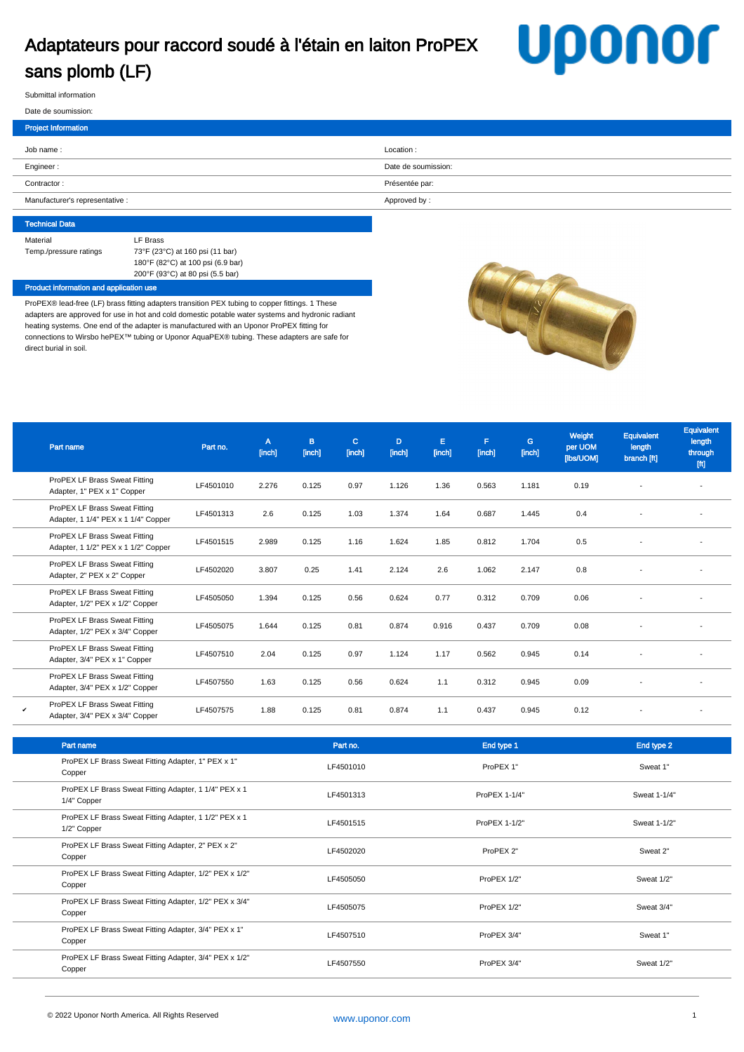## Adaptateurs pour raccord soudé à l'étain en laiton ProPEX sans plomb (LF)

# **Uponor**

Submittal information

#### Date de soumission:

| <b>Project Information</b>      |                     |
|---------------------------------|---------------------|
| Job name:                       | Location:           |
| Engineer:                       | Date de soumission: |
| Contractor:                     | Présentée par:      |
| Manufacturer's representative : | Approved by:        |
|                                 |                     |

#### Technical Data Material **LF** Brass Temp./pressure ratings 73°F (23°C) at 160 psi (11 bar) 180°F (82°C) at 100 psi (6.9 bar) 200°F (93°C) at 80 psi (5.5 bar)

#### Product information and application use

ProPEX® lead-free (LF) brass fitting adapters transition PEX tubing to copper fittings. 1 These adapters are approved for use in hot and cold domestic potable water systems and hydronic radiant heating systems. One end of the adapter is manufactured with an Uponor ProPEX fitting for connections to Wirsbo hePEX™ tubing or Uponor AquaPEX® tubing. These adapters are safe for direct burial in soil.



|   | Part name                                                            | Part no.  | A<br>[inch] | B<br>[inch] | $\mathbf{C}$<br>[inch] | D<br>[inch] | Е<br>[inch] | F<br>[inch] | G.<br>[inch] | Weight<br>per UOM<br>[lbs/UOM] | Equivalent<br>length<br>branch [ft] | Equivalent<br>length<br>through<br>$[{\mathfrak{f}} {\mathfrak{t}}]$ |
|---|----------------------------------------------------------------------|-----------|-------------|-------------|------------------------|-------------|-------------|-------------|--------------|--------------------------------|-------------------------------------|----------------------------------------------------------------------|
|   | ProPEX LF Brass Sweat Fitting<br>Adapter, 1" PEX x 1" Copper         | LF4501010 | 2.276       | 0.125       | 0.97                   | 1.126       | 1.36        | 0.563       | 1.181        | 0.19                           |                                     |                                                                      |
|   | ProPEX LF Brass Sweat Fitting<br>Adapter, 1 1/4" PEX x 1 1/4" Copper | LF4501313 | 2.6         | 0.125       | 1.03                   | 1.374       | 1.64        | 0.687       | 1.445        | 0.4                            |                                     |                                                                      |
|   | ProPEX LF Brass Sweat Fitting<br>Adapter, 1 1/2" PEX x 1 1/2" Copper | LF4501515 | 2.989       | 0.125       | 1.16                   | 1.624       | 1.85        | 0.812       | 1.704        | 0.5                            |                                     |                                                                      |
|   | ProPEX LF Brass Sweat Fitting<br>Adapter, 2" PEX x 2" Copper         | LF4502020 | 3.807       | 0.25        | 1.41                   | 2.124       | 2.6         | 1.062       | 2.147        | 0.8                            |                                     |                                                                      |
|   | ProPEX LF Brass Sweat Fitting<br>Adapter, 1/2" PEX x 1/2" Copper     | LF4505050 | 1.394       | 0.125       | 0.56                   | 0.624       | 0.77        | 0.312       | 0.709        | 0.06                           |                                     | $\overline{\phantom{a}}$                                             |
|   | ProPEX LF Brass Sweat Fitting<br>Adapter, 1/2" PEX x 3/4" Copper     | LF4505075 | 1.644       | 0.125       | 0.81                   | 0.874       | 0.916       | 0.437       | 0.709        | 0.08                           |                                     |                                                                      |
|   | ProPEX LF Brass Sweat Fitting<br>Adapter, 3/4" PEX x 1" Copper       | LF4507510 | 2.04        | 0.125       | 0.97                   | 1.124       | 1.17        | 0.562       | 0.945        | 0.14                           |                                     | $\overline{\phantom{a}}$                                             |
|   | ProPEX LF Brass Sweat Fitting<br>Adapter, 3/4" PEX x 1/2" Copper     | LF4507550 | 1.63        | 0.125       | 0.56                   | 0.624       | 1.1         | 0.312       | 0.945        | 0.09                           |                                     | $\overline{\phantom{a}}$                                             |
| v | ProPEX LF Brass Sweat Fitting<br>Adapter, 3/4" PEX x 3/4" Copper     | LF4507575 | 1.88        | 0.125       | 0.81                   | 0.874       | 1.1         | 0.437       | 0.945        | 0.12                           |                                     |                                                                      |

| Part name                                                            | Part no.  | End type 1    | End type 2   |
|----------------------------------------------------------------------|-----------|---------------|--------------|
| ProPEX LF Brass Sweat Fitting Adapter, 1" PEX x 1"<br>Copper         | LF4501010 | ProPEX 1"     | Sweat 1"     |
| ProPEX LF Brass Sweat Fitting Adapter, 1 1/4" PEX x 1<br>1/4" Copper | LF4501313 | ProPEX 1-1/4" | Sweat 1-1/4" |
| ProPEX LF Brass Sweat Fitting Adapter, 1 1/2" PEX x 1<br>1/2" Copper | LF4501515 | ProPEX 1-1/2" | Sweat 1-1/2" |
| ProPEX LF Brass Sweat Fitting Adapter, 2" PEX x 2"<br>Copper         | LF4502020 | ProPEX 2"     | Sweat 2"     |
| ProPEX LF Brass Sweat Fitting Adapter, 1/2" PEX x 1/2"<br>Copper     | LF4505050 | ProPEX 1/2"   | Sweat 1/2"   |
| ProPEX LF Brass Sweat Fitting Adapter, 1/2" PEX x 3/4"<br>Copper     | LF4505075 | ProPEX 1/2"   | Sweat 3/4"   |
| ProPEX LF Brass Sweat Fitting Adapter, 3/4" PEX x 1"<br>Copper       | LF4507510 | ProPEX 3/4"   | Sweat 1"     |
| ProPEX LF Brass Sweat Fitting Adapter, 3/4" PEX x 1/2"<br>Copper     | LF4507550 | ProPEX 3/4"   | Sweat 1/2"   |